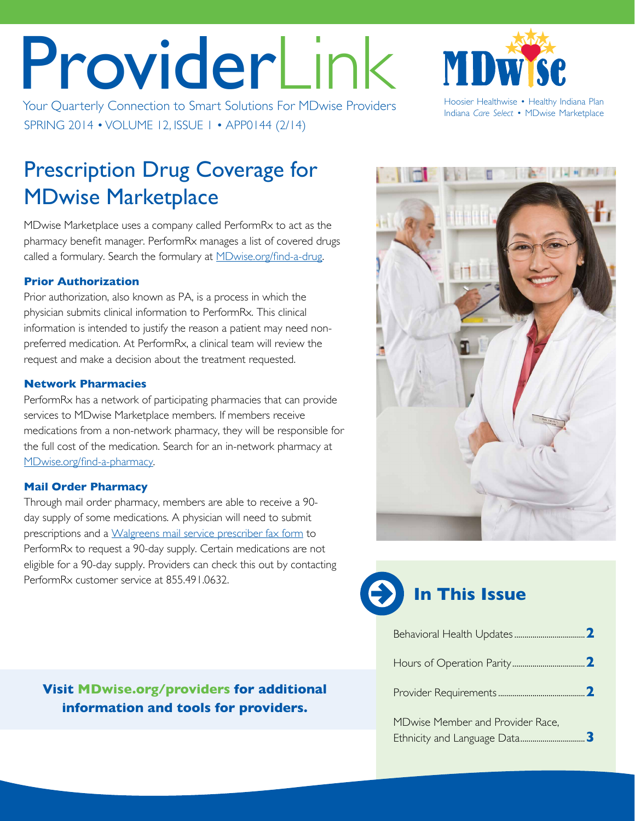# ProviderLink

Your Quarterly Connection to Smart Solutions For MDwise Providers Healthwise • Healthy Indiana Plan SPRING 2014 • VOLUME 12, ISSUE 1 • APP0144 (2/14)

Indiana *Care Select* • MDwise Marketplace

MD

## Prescription Drug Coverage for MDwise Marketplace

MDwise Marketplace uses a company called PerformRx to act as the pharmacy benefit manager. PerformRx manages a list of covered drugs called a formulary. Search the formulary at [MDwise.org/find-a-drug.](http://www.mdwise.org/find-a-drug/)

### **Prior Authorization**

Prior authorization, also known as PA, is a process in which the physician submits clinical information to PerformRx. This clinical information is intended to justify the reason a patient may need nonpreferred medication. At PerformRx, a clinical team will review the request and make a decision about the treatment requested.

### **Network Pharmacies**

PerformRx has a network of participating pharmacies that can provide services to MDwise Marketplace members. If members receive medications from a non-network pharmacy, they will be responsible for the full cost of the medication. Search for an in-network pharmacy at [MDwise.org/find-a-pharmacy.](http://www.mdwise.org/find-a-pharmacy/)

### **Mail Order Pharmacy**

Through mail order pharmacy, members are able to receive a 90 day supply of some medications. A physician will need to submit prescriptions and a [Walgreens mail service prescriber fax form](http://www.mdwise.org/MediaLibraries/MDwise/Files/For%252520Providers/Forms/Pharmacy/walgreens_mail_order_form_marketplace.pdf) to PerformRx to request a 90-day supply. Certain medications are not eligible for a 90-day supply. Providers can check this out by contacting PerformRx customer service at 855.491.0632.

**Visit [MDwise.org/providers](http://MDwise.org/providers) for additional information and tools for providers.**



## **In This Issue**

| MDwise Member and Provider Race, |
|----------------------------------|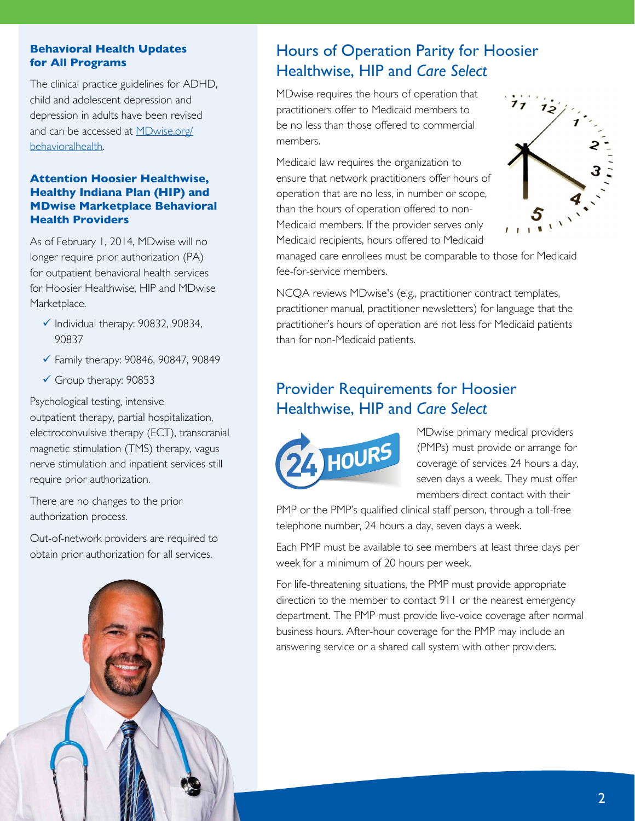#### <span id="page-1-0"></span>**Behavioral Health Updates for All Programs**

The clinical practice guidelines for ADHD, child and adolescent depression and depression in adults have been revised and can be accessed at **[MDwise.org/](http://MDwise.org/behavioralhealth)** [behavioralhealth](http://MDwise.org/behavioralhealth).

#### **Attention Hoosier Healthwise, Healthy Indiana Plan (HIP) and MDwise Marketplace Behavioral Health Providers**

As of February 1, 2014, MDwise will no longer require prior authorization (PA) for outpatient behavioral health services for Hoosier Healthwise, HIP and MDwise Marketplace.

- $\checkmark$  Individual therapy: 90832, 90834, 90837
- $\checkmark$  Family therapy: 90846, 90847, 90849
- $\checkmark$  Group therapy: 90853

Psychological testing, intensive outpatient therapy, partial hospitalization, electroconvulsive therapy (ECT), transcranial magnetic stimulation (TMS) therapy, vagus nerve stimulation and inpatient services still require prior authorization.

There are no changes to the prior authorization process.

Out-of-network providers are required to obtain prior authorization for all services.



## Hours of Operation Parity for Hoosier Healthwise, HIP and *Care Select*

MDwise requires the hours of operation that practitioners offer to Medicaid members to be no less than those offered to commercial members.

Medicaid law requires the organization to ensure that network practitioners offer hours of operation that are no less, in number or scope, than the hours of operation offered to non-Medicaid members. If the provider serves only Medicaid recipients, hours offered to Medicaid



managed care enrollees must be comparable to those for Medicaid fee-for-service members.

NCQA reviews MDwise's (e.g., practitioner contract templates, practitioner manual, practitioner newsletters) for language that the practitioner's hours of operation are not less for Medicaid patients than for non-Medicaid patients.

## Provider Requirements for Hoosier Healthwise, HIP and *Care Select*



MDwise primary medical providers (PMPs) must provide or arrange for coverage of services 24 hours a day, seven days a week. They must offer members direct contact with their

PMP or the PMP's qualified clinical staff person, through a toll-free telephone number, 24 hours a day, seven days a week.

Each PMP must be available to see members at least three days per week for a minimum of 20 hours per week.

For life-threatening situations, the PMP must provide appropriate direction to the member to contact 911 or the nearest emergency department. The PMP must provide live-voice coverage after normal business hours. After-hour coverage for the PMP may include an answering service or a shared call system with other providers.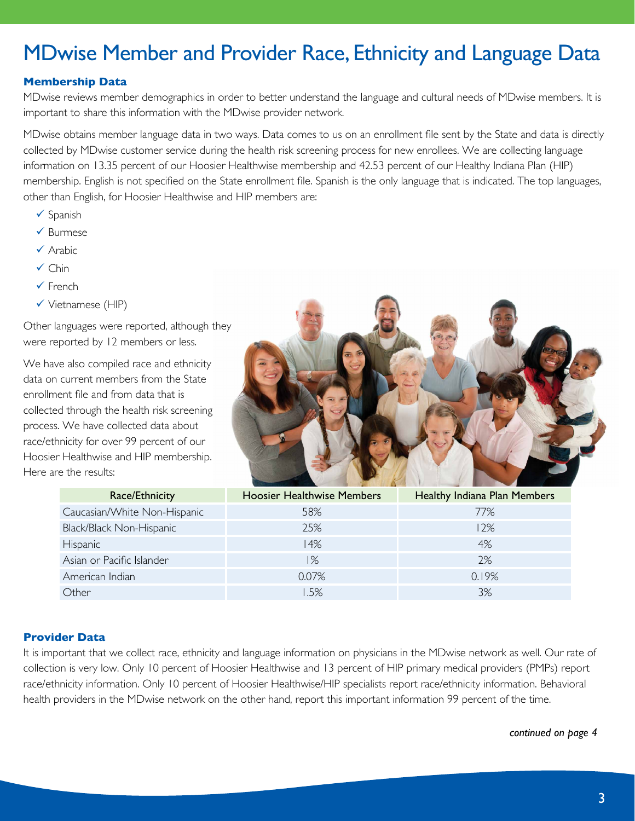## <span id="page-2-0"></span>MDwise Member and Provider Race, Ethnicity and Language Data

#### **Membership Data**

MDwise reviews member demographics in order to better understand the language and cultural needs of MDwise members. It is important to share this information with the MDwise provider network.

MDwise obtains member language data in two ways. Data comes to us on an enrollment file sent by the State and data is directly collected by MDwise customer service during the health risk screening process for new enrollees. We are collecting language information on 13.35 percent of our Hoosier Healthwise membership and 42.53 percent of our Healthy Indiana Plan (HIP) membership. English is not specified on the State enrollment file. Spanish is the only language that is indicated. The top languages, other than English, for Hoosier Healthwise and HIP members are:

- $\checkmark$  Spanish
- $\checkmark$  Burmese
- $\checkmark$  Arabic
- $\checkmark$  Chin
- $\checkmark$  French
- $\checkmark$  Vietnamese (HIP)

Other languages were reported, although they were reported by 12 members or less.

We have also compiled race and ethnicity data on current members from the State enrollment file and from data that is collected through the health risk screening process. We have collected data about race/ethnicity for over 99 percent of our Hoosier Healthwise and HIP membership. Here are the results:



| Race/Ethnicity               | <b>Hoosier Healthwise Members</b> | Healthy Indiana Plan Members |
|------------------------------|-----------------------------------|------------------------------|
| Caucasian/White Non-Hispanic | 58%                               | 77%                          |
| Black/Black Non-Hispanic     | 25%                               | 12%                          |
| Hispanic                     | 14%                               | 4%                           |
| Asian or Pacific Islander    | $1\%$                             | 2%                           |
| American Indian              | 0.07%                             | 0.19%                        |
| Other                        | 1.5%                              | 3%                           |
|                              |                                   |                              |

#### **Provider Data**

It is important that we collect race, ethnicity and language information on physicians in the MDwise network as well. Our rate of collection is very low. Only 10 percent of Hoosier Healthwise and 13 percent of HIP primary medical providers (PMPs) report race/ethnicity information. Only 10 percent of Hoosier Healthwise/HIP specialists report race/ethnicity information. Behavioral health providers in the MDwise network on the other hand, report this important information 99 percent of the time.

*continued on page 4*